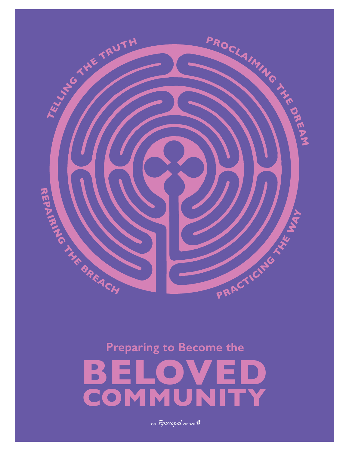

# **BELOVED COMMUNITY Preparing to Become the**

THE *Episcopal* CHURCH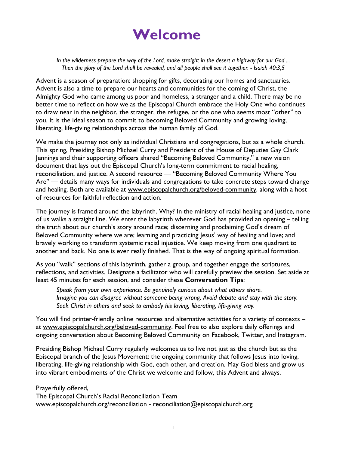## **Welcome**

*In the wilderness prepare the way of the Lord, make straight in the desert a highway for our God ... Then the glory of the Lord shall be revealed, and all people shall see it together. - Isaiah 40:3,5*

Advent is a season of preparation: shopping for gifts, decorating our homes and sanctuaries. Advent is also a time to prepare our hearts and communities for the coming of Christ, the Almighty God who came among us poor and homeless, a stranger and a child. There may be no better time to reflect on how we as the Episcopal Church embrace the Holy One who continues to draw near in the neighbor, the stranger, the refugee, or the one who seems most "other" to you. It is the ideal season to commit to becoming Beloved Community and growing loving, liberating, life-giving relationships across the human family of God.

We make the journey not only as individual Christians and congregations, but as a whole church. This spring, Presiding Bishop Michael Curry and President of the House of Deputies Gay Clark Jennings and their supporting officers shared "Becoming Beloved Community," a new vision document that lays out the Episcopal Church's long-term commitment to racial healing, reconciliation, and justice. A second resource *—* "Becoming Beloved Community Where You Are" *—* details many ways for individuals and congregations to take concrete steps toward change and healing. Both are available at www.episcopalchurch.org/beloved-community, along with a host of resources for faithful reflection and action.

The journey is framed around the labyrinth. Why? In the ministry of racial healing and justice, none of us walks a straight line. We enter the labyrinth wherever God has provided an opening – telling the truth about our church's story around race; discerning and proclaiming God's dream of Beloved Community where we are; learning and practicing Jesus' way of healing and love; and bravely working to transform systemic racial injustice. We keep moving from one quadrant to another and back. No one is ever really finished. That is the way of ongoing spiritual formation.

As you "walk" sections of this labyrinth, gather a group, and together engage the scriptures, reflections, and activities. Designate a facilitator who will carefully preview the session. Set aside at least 45 minutes for each session, and consider these **Conversation Tips**:

*Speak from your own experience. Be genuinely curious about what others share. Imagine you can disagree without someone being wrong. Avoid debate and stay with the story. Seek Christ in others and seek to embody his loving, liberating, life-giving way.* 

You will find printer-friendly online resources and alternative activities for a variety of contexts – at www.episcopalchurch.org/beloved-community. Feel free to also explore daily offerings and ongoing conversation about Becoming Beloved Community on Facebook, Twitter, and Instagram.

Presiding Bishop Michael Curry regularly welcomes us to live not just as the church but as the Episcopal branch of the Jesus Movement: the ongoing community that follows Jesus into loving, liberating, life-giving relationship with God, each other, and creation. May God bless and grow us into vibrant embodiments of the Christ we welcome and follow, this Advent and always.

Prayerfully offered, The Episcopal Church's Racial Reconciliation Team www.episcopalchurch.org/reconciliation - reconciliation@episcopalchurch.org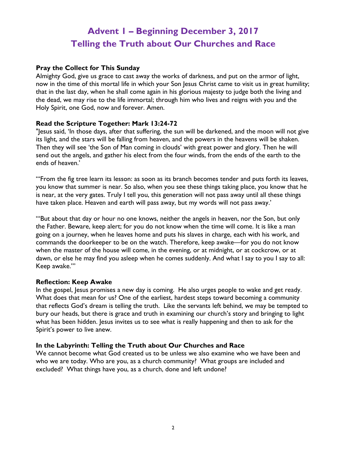### **Advent 1 – Beginning December 3, 2017 Telling the Truth about Our Churches and Race**

### **Pray the Collect for This Sunday**

Almighty God, give us grace to cast away the works of darkness, and put on the armor of light, now in the time of this mortal life in which your Son Jesus Christ came to visit us in great humility; that in the last day, when he shall come again in his glorious majesty to judge both the living and the dead, we may rise to the life immortal; through him who lives and reigns with you and the Holy Spirit, one God, now and forever. Amen.

### **Read the Scripture Together: Mark 13:24-72**

"Jesus said, 'In those days, after that suffering, the sun will be darkened, and the moon will not give its light, and the stars will be falling from heaven, and the powers in the heavens will be shaken. Then they will see 'the Son of Man coming in clouds' with great power and glory. Then he will send out the angels, and gather his elect from the four winds, from the ends of the earth to the ends of heaven.'

"'From the fig tree learn its lesson: as soon as its branch becomes tender and puts forth its leaves, you know that summer is near. So also, when you see these things taking place, you know that he is near, at the very gates. Truly I tell you, this generation will not pass away until all these things have taken place. Heaven and earth will pass away, but my words will not pass away.'

"'But about that day or hour no one knows, neither the angels in heaven, nor the Son, but only the Father. Beware, keep alert; for you do not know when the time will come. It is like a man going on a journey, when he leaves home and puts his slaves in charge, each with his work, and commands the doorkeeper to be on the watch. Therefore, keep awake—for you do not know when the master of the house will come, in the evening, or at midnight, or at cockcrow, or at dawn, or else he may find you asleep when he comes suddenly. And what I say to you I say to all: Keep awake.'"

### **Reflection: Keep Awake**

In the gospel, Jesus promises a new day is coming. He also urges people to wake and get ready. What does that mean for us? One of the earliest, hardest steps toward becoming a community that reflects God's dream is telling the truth. Like the servants left behind, we may be tempted to bury our heads, but there is grace and truth in examining our church's story and bringing to light what has been hidden. Jesus invites us to see what is really happening and then to ask for the Spirit's power to live anew.

### **In the Labyrinth: Telling the Truth about Our Churches and Race**

We cannot become what God created us to be unless we also examine who we have been and who we are today. Who are you, as a church community? What groups are included and excluded? What things have you, as a church, done and left undone?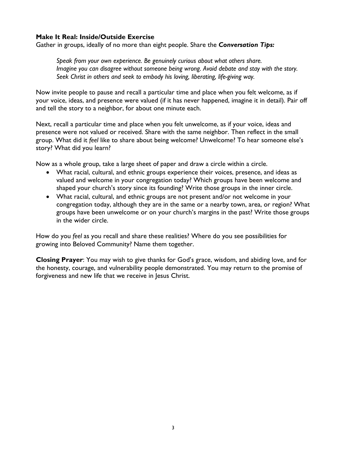### **Make It Real: Inside/Outside Exercise**

Gather in groups, ideally of no more than eight people. Share the *Conversation Tips:* 

*Speak from your own experience. Be genuinely curious about what others share. Imagine you can disagree without someone being wrong. Avoid debate and stay with the story. Seek Christ in others and seek to embody his loving, liberating, life-giving way.* 

Now invite people to pause and recall a particular time and place when you felt welcome, as if your voice, ideas, and presence were valued (if it has never happened, imagine it in detail). Pair off and tell the story to a neighbor, for about one minute each.

Next, recall a particular time and place when you felt unwelcome, as if your voice, ideas and presence were not valued or received. Share with the same neighbor. Then reflect in the small group. What did it *feel* like to share about being welcome? Unwelcome? To hear someone else's story? What did you learn?

Now as a whole group, take a large sheet of paper and draw a circle within a circle.

- What racial, cultural, and ethnic groups experience their voices, presence, and ideas as valued and welcome in your congregation today? Which groups have been welcome and shaped your church's story since its founding? Write those groups in the inner circle.
- What racial, cultural, and ethnic groups are not present and/or not welcome in your congregation today, although they are in the same or a nearby town, area, or region? What groups have been unwelcome or on your church's margins in the past? Write those groups in the wider circle.

How do you *feel* as you recall and share these realities? Where do you see possibilities for growing into Beloved Community? Name them together.

**Closing Prayer**: You may wish to give thanks for God's grace, wisdom, and abiding love, and for the honesty, courage, and vulnerability people demonstrated. You may return to the promise of forgiveness and new life that we receive in Jesus Christ.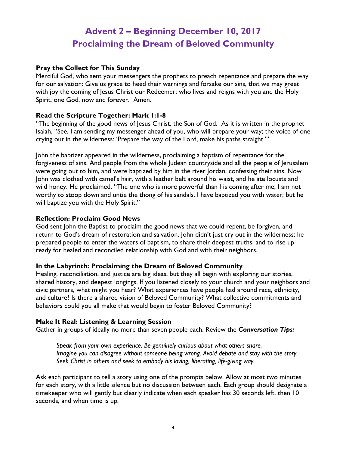### **Advent 2 – Beginning December 10, 2017 Proclaiming the Dream of Beloved Community**

### **Pray the Collect for This Sunday**

Merciful God, who sent your messengers the prophets to preach repentance and prepare the way for our salvation: Give us grace to heed their warnings and forsake our sins, that we may greet with joy the coming of Jesus Christ our Redeemer; who lives and reigns with you and the Holy Spirit, one God, now and forever. Amen.

### **Read the Scripture Together: Mark 1:1-8**

"The beginning of the good news of Jesus Christ, the Son of God. As it is written in the prophet Isaiah, "See, I am sending my messenger ahead of you, who will prepare your way; the voice of one crying out in the wilderness: 'Prepare the way of the Lord, make his paths straight.'"

John the baptizer appeared in the wilderness, proclaiming a baptism of repentance for the forgiveness of sins. And people from the whole Judean countryside and all the people of Jerusalem were going out to him, and were baptized by him in the river Jordan, confessing their sins. Now John was clothed with camel's hair, with a leather belt around his waist, and he ate locusts and wild honey. He proclaimed, "The one who is more powerful than I is coming after me; I am not worthy to stoop down and untie the thong of his sandals. I have baptized you with water; but he will baptize you with the Holy Spirit."

### **Reflection: Proclaim Good News**

God sent John the Baptist to proclaim the good news that we could repent, be forgiven, and return to God's dream of restoration and salvation. John didn't just cry out in the wilderness; he prepared people to enter the waters of baptism, to share their deepest truths, and to rise up ready for healed and reconciled relationship with God and with their neighbors.

### **In the Labyrinth: Proclaiming the Dream of Beloved Community**

Healing, reconciliation, and justice are big ideas, but they all begin with exploring our stories, shared history, and deepest longings. If you listened closely to your church and your neighbors and civic partners, what might you hear? What experiences have people had around race, ethnicity, and culture? Is there a shared vision of Beloved Community? What collective commitments and behaviors could you all make that would begin to foster Beloved Community?

### **Make It Real: Listening & Learning Session**

Gather in groups of ideally no more than seven people each. Review the *Conversation Tips:* 

*Speak from your own experience. Be genuinely curious about what others share. Imagine you can disagree without someone being wrong. Avoid debate and stay with the story. Seek Christ in others and seek to embody his loving, liberating, life-giving way.* 

Ask each participant to tell a story using one of the prompts below. Allow at most two minutes for each story, with a little silence but no discussion between each. Each group should designate a timekeeper who will gently but clearly indicate when each speaker has 30 seconds left, then 10 seconds, and when time is up.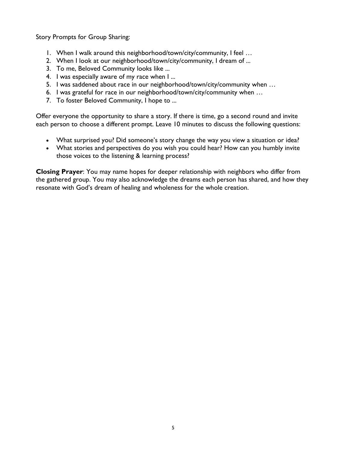Story Prompts for Group Sharing:

- 1. When I walk around this neighborhood/town/city/community, I feel …
- 2. When I look at our neighborhood/town/city/community, I dream of ...
- 3. To me, Beloved Community looks like ...
- 4. I was especially aware of my race when I ...
- 5. I was saddened about race in our neighborhood/town/city/community when …
- 6. I was grateful for race in our neighborhood/town/city/community when …
- 7. To foster Beloved Community, I hope to ...

Offer everyone the opportunity to share a story. If there is time, go a second round and invite each person to choose a different prompt. Leave 10 minutes to discuss the following questions:

- What surprised you? Did someone's story change the way you view a situation or idea?
- What stories and perspectives do you wish you could hear? How can you humbly invite those voices to the listening & learning process?

**Closing Prayer**: You may name hopes for deeper relationship with neighbors who differ from the gathered group. You may also acknowledge the dreams each person has shared, and how they resonate with God's dream of healing and wholeness for the whole creation.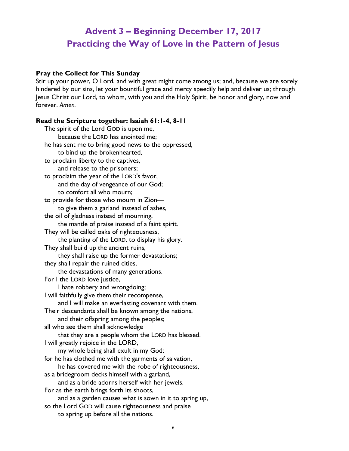### **Advent 3 – Beginning December 17, 2017 Practicing the Way of Love in the Pattern of Jesus**

#### **Pray the Collect for This Sunday**

Stir up your power, O Lord, and with great might come among us; and, because we are sorely hindered by our sins, let your bountiful grace and mercy speedily help and deliver us; through Jesus Christ our Lord, to whom, with you and the Holy Spirit, be honor and glory, now and forever. *Amen.*

#### **Read the Scripture together: Isaiah 61:1-4, 8-11**

The spirit of the Lord GOD is upon me, because the LORD has anointed me; he has sent me to bring good news to the oppressed, to bind up the brokenhearted, to proclaim liberty to the captives, and release to the prisoners; to proclaim the year of the LORD's favor, and the day of vengeance of our God; to comfort all who mourn; to provide for those who mourn in Zion to give them a garland instead of ashes, the oil of gladness instead of mourning, the mantle of praise instead of a faint spirit. They will be called oaks of righteousness, the planting of the LORD, to display his glory. They shall build up the ancient ruins, they shall raise up the former devastations; they shall repair the ruined cities, the devastations of many generations. For I the LORD love justice, I hate robbery and wrongdoing; I will faithfully give them their recompense, and I will make an everlasting covenant with them. Their descendants shall be known among the nations, and their offspring among the peoples; all who see them shall acknowledge that they are a people whom the LORD has blessed. I will greatly rejoice in the LORD, my whole being shall exult in my God; for he has clothed me with the garments of salvation, he has covered me with the robe of righteousness, as a bridegroom decks himself with a garland, and as a bride adorns herself with her jewels. For as the earth brings forth its shoots, and as a garden causes what is sown in it to spring up, so the Lord GOD will cause righteousness and praise to spring up before all the nations.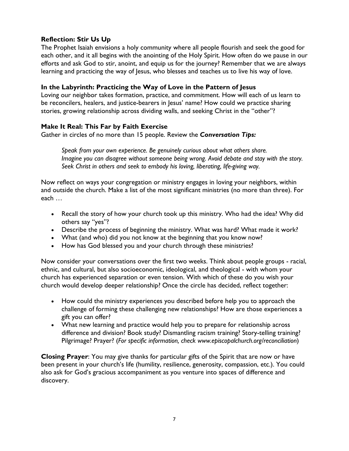### **Reflection: Stir Us Up**

The Prophet Isaiah envisions a holy community where all people flourish and seek the good for each other, and it all begins with the anointing of the Holy Spirit. How often do we pause in our efforts and ask God to stir, anoint, and equip us for the journey? Remember that we are always learning and practicing the way of Jesus, who blesses and teaches us to live his way of love.

### **In the Labyrinth: Practicing the Way of Love in the Pattern of Jesus**

Loving our neighbor takes formation, practice, and commitment. How will each of us learn to be reconcilers, healers, and justice-bearers in Jesus' name? How could we practice sharing stories, growing relationship across dividing walls, and seeking Christ in the "other"?

### **Make It Real: This Far by Faith Exercise**

Gather in circles of no more than 15 people. Review the *Conversation Tips:* 

*Speak from your own experience. Be genuinely curious about what others share. Imagine you can disagree without someone being wrong. Avoid debate and stay with the story. Seek Christ in others and seek to embody his loving, liberating, life-giving way.* 

Now reflect on ways your congregation or ministry engages in loving your neighbors, within and outside the church. Make a list of the most significant ministries (no more than three). For each …

- Recall the story of how your church took up this ministry. Who had the idea? Why did others say "yes"?
- Describe the process of beginning the ministry. What was hard? What made it work?
- What (and who) did you not know at the beginning that you know now?
- How has God blessed you and your church through these ministries?

Now consider your conversations over the first two weeks. Think about people groups - racial, ethnic, and cultural, but also socioeconomic, ideological, and theological - with whom your church has experienced separation or even tension. With which of these do you wish your church would develop deeper relationship? Once the circle has decided, reflect together:

- How could the ministry experiences you described before help you to approach the challenge of forming these challenging new relationships? How are those experiences a gift you can offer?
- What new learning and practice would help you to prepare for relationship across difference and division? Book study? Dismantling racism training? Story-telling training? Pilgrimage? Prayer? (*For specific information, check www.episcopalchurch.org/reconciliation*)

**Closing Prayer**: You may give thanks for particular gifts of the Spirit that are now or have been present in your church's life (humility, resilience, generosity, compassion, etc.). You could also ask for God's gracious accompaniment as you venture into spaces of difference and discovery.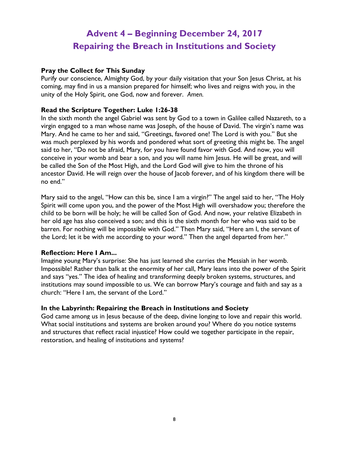### **Advent 4 – Beginning December 24, 2017 Repairing the Breach in Institutions and Society**

### **Pray the Collect for This Sunday**

Purify our conscience, Almighty God, by your daily visitation that your Son Jesus Christ, at his coming, may find in us a mansion prepared for himself; who lives and reigns with you, in the unity of the Holy Spirit, one God, now and forever. *Amen.*

### **Read the Scripture Together: Luke 1:26-38**

In the sixth month the angel Gabriel was sent by God to a town in Galilee called Nazareth, to a virgin engaged to a man whose name was Joseph, of the house of David. The virgin's name was Mary. And he came to her and said, "Greetings, favored one! The Lord is with you." But she was much perplexed by his words and pondered what sort of greeting this might be. The angel said to her, "Do not be afraid, Mary, for you have found favor with God. And now, you will conceive in your womb and bear a son, and you will name him Jesus. He will be great, and will be called the Son of the Most High, and the Lord God will give to him the throne of his ancestor David. He will reign over the house of Jacob forever, and of his kingdom there will be no end."

Mary said to the angel, "How can this be, since I am a virgin?" The angel said to her, "The Holy Spirit will come upon you, and the power of the Most High will overshadow you; therefore the child to be born will be holy; he will be called Son of God. And now, your relative Elizabeth in her old age has also conceived a son; and this is the sixth month for her who was said to be barren. For nothing will be impossible with God." Then Mary said, "Here am I, the servant of the Lord; let it be with me according to your word." Then the angel departed from her."

### **Reflection: Here I Am...**

Imagine young Mary's surprise: She has just learned she carries the Messiah in her womb. Impossible! Rather than balk at the enormity of her call, Mary leans into the power of the Spirit and says "yes." The idea of healing and transforming deeply broken systems, structures, and institutions may sound impossible to us. We can borrow Mary's courage and faith and say as a church: "Here I am, the servant of the Lord."

### **In the Labyrinth: Repairing the Breach in Institutions and Society**

God came among us in Jesus because of the deep, divine longing to love and repair this world. What social institutions and systems are broken around you? Where do you notice systems and structures that reflect racial injustice? How could we together participate in the repair, restoration, and healing of institutions and systems?